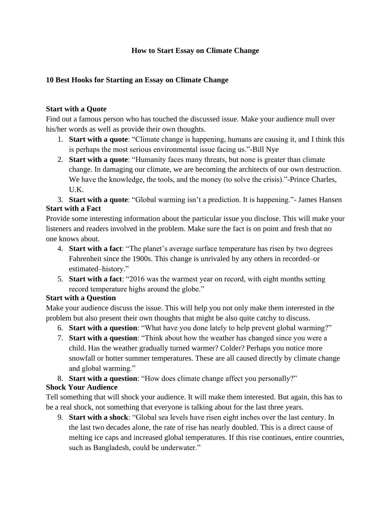## **How to Start Essay on Climate Change**

### **10 Best Hooks for Starting an Essay on Climate Change**

### **Start with a Quote**

Find out a famous person who has touched the discussed issue. Make your audience mull over his/her words as well as provide their own thoughts.

- 1. **Start with a quote**: "Climate change is happening, humans are causing it, and I think this is perhaps the most serious environmental issue facing us."-Bill Nye
- 2. **Start with a quote**: "Humanity faces many threats, but none is greater than climate change. In damaging our climate, we are becoming the architects of our own destruction. We have the knowledge, the tools, and the money (to solve the crisis)."-Prince Charles, U.K.

3. **Start with a quote**: "Global warming isn't a prediction. It is happening."- James Hansen **Start with a Fact**

Provide some interesting information about the particular issue you disclose. This will make your listeners and readers involved in the problem. Make sure the fact is on point and fresh that no one knows about.

- 4. **Start with a fact**: "The planet's average surface temperature has risen by two degrees Fahrenheit since the 1900s. This change is unrivaled by any others in recorded–or estimated–history."
- 5. **Start with a fact**: "2016 was the warmest year on record, with eight months setting record temperature highs around the globe."

# **Start with a Question**

Make your audience discuss the issue. This will help you not only make them interested in the problem but also present their own thoughts that might be also quite catchy to discuss.

- 6. **Start with a question**: "What have you done lately to help prevent global warming?"
- 7. **Start with a question**: "Think about how the weather has changed since you were a child. Has the weather gradually turned warmer? Colder? Perhaps you notice more snowfall or hotter summer temperatures. These are all caused directly by climate change and global warming."
- 8. **Start with a question**: "How does climate change affect you personally?"

# **Shock Your Audience**

Tell something that will shock your audience. It will make them interested. But again, this has to be a real shock, not something that everyone is talking about for the last three years.

9. **Start with a shock**: "Global sea levels have risen eight inches over the last century. In the last two decades alone, the rate of rise has nearly doubled. This is a direct cause of melting ice caps and increased global temperatures. If this rise continues, entire countries, such as Bangladesh, could be underwater."